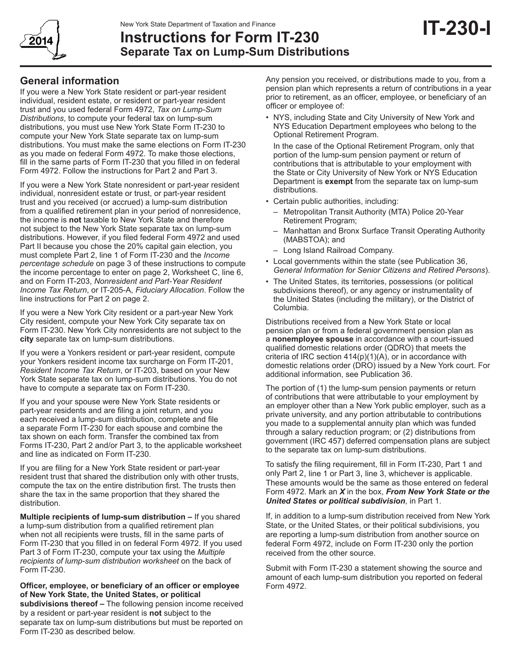

# **Instructions for Form IT-230 Separate Tax on Lump-Sum Distributions**

# **General information**

If you were a New York State resident or part-year resident individual, resident estate, or resident or part-year resident trust and you used federal Form 4972, *Tax on Lump-Sum Distributions*, to compute your federal tax on lump-sum distributions, you must use New York State Form IT-230 to compute your New York State separate tax on lump-sum distributions. You must make the same elections on Form IT-230 as you made on federal Form 4972. To make those elections, fill in the same parts of Form IT-230 that you filled in on federal Form 4972. Follow the instructions for Part 2 and Part 3.

If you were a New York State nonresident or part-year resident individual, nonresident estate or trust, or part-year resident trust and you received (or accrued) a lump-sum distribution from a qualified retirement plan in your period of nonresidence, the income is **not** taxable to New York State and therefore not subject to the New York State separate tax on lump-sum distributions. However, if you filed federal Form 4972 and used Part II because you chose the 20% capital gain election, you must complete Part 2, line 1 of Form IT-230 and the *Income percentage schedule* on page 3 of these instructions to compute the income percentage to enter on page 2, Worksheet C, line 6, and on Form IT-203, *Nonresident and Part-Year Resident Income Tax Return*, or IT-205-A, *Fiduciary Allocation*. Follow the line instructions for Part 2 on page 2.

If you were a New York City resident or a part-year New York City resident, compute your New York City separate tax on Form IT-230. New York City nonresidents are not subject to the **city** separate tax on lump-sum distributions.

If you were a Yonkers resident or part-year resident, compute your Yonkers resident income tax surcharge on Form IT-201, *Resident Income Tax Return*, or IT-203, based on your New York State separate tax on lump-sum distributions. You do not have to compute a separate tax on Form IT-230.

If you and your spouse were New York State residents or part-year residents and are filing a joint return, and you each received a lump-sum distribution, complete and file a separate Form IT-230 for each spouse and combine the tax shown on each form. Transfer the combined tax from Forms IT-230, Part 2 and/or Part 3, to the applicable worksheet and line as indicated on Form IT-230.

If you are filing for a New York State resident or part-year resident trust that shared the distribution only with other trusts, compute the tax on the entire distribution first. The trusts then share the tax in the same proportion that they shared the distribution.

**Multiple recipients of lump-sum distribution –** If you shared a lump-sum distribution from a qualified retirement plan when not all recipients were trusts, fill in the same parts of Form IT‑230 that you filled in on federal Form 4972. If you used Part 3 of Form IT-230, compute your tax using the *Multiple recipients of lump-sum distribution worksheet* on the back of Form IT-230.

**Officer, employee, or beneficiary of an officer or employee of New York State, the United States, or political** 

**subdivisions thereof –** The following pension income received by a resident or part-year resident is **not** subject to the separate tax on lump-sum distributions but must be reported on Form IT-230 as described below.

Any pension you received, or distributions made to you, from a pension plan which represents a return of contributions in a year prior to retirement, as an officer, employee, or beneficiary of an officer or employee of:

• NYS, including State and City University of New York and NYS Education Department employees who belong to the Optional Retirement Program.

In the case of the Optional Retirement Program, only that portion of the lump-sum pension payment or return of contributions that is attributable to your employment with the State or City University of New York or NYS Education Department is **exempt** from the separate tax on lump-sum distributions.

- Certain public authorities, including:
	- Metropolitan Transit Authority (MTA) Police 20-Year Retirement Program;
	- Manhattan and Bronx Surface Transit Operating Authority (MABSTOA); and
	- Long Island Railroad Company.
- Local governments within the state (see Publication 36, *General Information for Senior Citizens and Retired Persons*).
- The United States, its territories, possessions (or political subdivisions thereof), or any agency or instrumentality of the United States (including the military), or the District of Columbia.

Distributions received from a New York State or local pension plan or from a federal government pension plan as a **nonemployee spouse** in accordance with a court-issued qualified domestic relations order (QDRO) that meets the criteria of IRC section  $414(p)(1)(A)$ , or in accordance with domestic relations order (DRO) issued by a New York court. For additional information, see Publication 36.

The portion of (1) the lump-sum pension payments or return of contributions that were attributable to your employment by an employer other than a New York public employer, such as a private university, and any portion attributable to contributions you made to a supplemental annuity plan which was funded through a salary reduction program; or (2) distributions from government (IRC 457) deferred compensation plans are subject to the separate tax on lump-sum distributions.

To satisfy the filing requirement, fill in Form IT-230, Part 1 and only Part 2, line 1 or Part 3, line 3, whichever is applicable. These amounts would be the same as those entered on federal Form 4972. Mark an *X* in the box, *From New York State or the United States or political subdivision*, in Part 1.

If, in addition to a lump-sum distribution received from New York State, or the United States, or their political subdivisions, you are reporting a lump-sum distribution from another source on federal Form 4972, include on Form IT-230 only the portion received from the other source.

Submit with Form IT-230 a statement showing the source and amount of each lump-sum distribution you reported on federal Form 4972.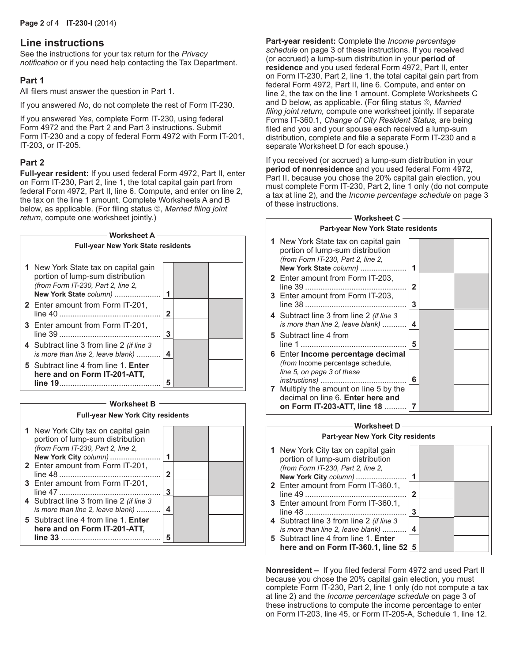## **Line instructions**

See the instructions for your tax return for the *Privacy notification* or if you need help contacting the Tax Department.

### **Part 1**

All filers must answer the question in Part 1.

If you answered *No*, do not complete the rest of Form IT-230.

If you answered *Yes*, complete Form IT-230, using federal Form 4972 and the Part 2 and Part 3 instructions. Submit Form IT-230 and a copy of federal Form 4972 with Form IT-201, IT-203, or IT-205.

### **Part 2**

**Full-year resident:** If you used federal Form 4972, Part II, enter on Form IT-230, Part 2, line 1, the total capital gain part from federal Form 4972, Part II, line 6. Compute, and enter on line 2, the tax on the line 1 amount. Complete Worksheets A and B below, as applicable. (For filing status 2), *Married filing joint return*, compute one worksheet jointly.)



### **Worksheet B Full-year New York City residents 1** New York City tax on capital gain  $\Box$

| $11011.10111.0117.011.0001101.00111.00111.00111.00111.00111.00111.00111.00111.00111.00111.00111.00111.00111.00111.00111.00111.00111.00111.00111.00111.00111.00111.00111.00111.00111.00111.00111.00111.00111.00111.00111.00111$<br>portion of lump-sum distribution |   |  |
|--------------------------------------------------------------------------------------------------------------------------------------------------------------------------------------------------------------------------------------------------------------------|---|--|
| (from Form IT-230, Part 2, line 2,                                                                                                                                                                                                                                 |   |  |
| New York City column)                                                                                                                                                                                                                                              |   |  |
| 2 Enter amount from Form IT-201,                                                                                                                                                                                                                                   |   |  |
|                                                                                                                                                                                                                                                                    | 2 |  |
| 3 Enter amount from Form IT-201,                                                                                                                                                                                                                                   |   |  |
|                                                                                                                                                                                                                                                                    | 3 |  |
| 4 Subtract line 3 from line 2 (if line 3                                                                                                                                                                                                                           |   |  |
| is more than line 2, leave blank)                                                                                                                                                                                                                                  | 4 |  |
| 5 Subtract line 4 from line 1. Enter                                                                                                                                                                                                                               |   |  |
| here and on Form IT-201-ATT.                                                                                                                                                                                                                                       |   |  |
| line 33                                                                                                                                                                                                                                                            |   |  |

**Part-year resident:** Complete the *Income percentage schedule* on page 3 of these instructions. If you received (or accrued) a lump-sum distribution in your **period of residence** and you used federal Form 4972, Part II, enter on Form IT-230, Part 2, line 1, the total capital gain part from federal Form 4972, Part II, line 6. Compute, and enter on line 2, the tax on the line 1 amount. Complete Worksheets C and D below, as applicable. (For filing status 2, Married *filing joint return,* compute one worksheet jointly. If separate Forms IT-360.1, *Change of City Resident Status,* are being filed and you and your spouse each received a lump-sum distribution, complete and file a separate Form IT‑230 and a separate Worksheet D for each spouse.)

If you received (or accrued) a lump-sum distribution in your **period of nonresidence** and you used federal Form 4972, Part II, because you chose the 20% capital gain election, you must complete Form IT-230, Part 2, line 1 only (do not compute a tax at line 2), and the *Income percentage schedule* on page 3 of these instructions.

#### **Worksheet C Part-year New York State residents**

| <b>Fail-year New TOIR State residents</b>                                                                                                                                                                          |   |  |  |  |  |  |  |
|--------------------------------------------------------------------------------------------------------------------------------------------------------------------------------------------------------------------|---|--|--|--|--|--|--|
| 1 New York State tax on capital gain<br>portion of lump-sum distribution<br>(from Form IT-230, Part 2, line 2,<br>New York State column)                                                                           | 1 |  |  |  |  |  |  |
| <b>2</b> Enter amount from Form IT-203,                                                                                                                                                                            | 2 |  |  |  |  |  |  |
| 3 Enter amount from Form IT-203,                                                                                                                                                                                   | 3 |  |  |  |  |  |  |
| 4 Subtract line 3 from line 2 (if line 3<br>is more than line 2, leave blank)                                                                                                                                      | 4 |  |  |  |  |  |  |
| 5 Subtract line 4 from                                                                                                                                                                                             | 5 |  |  |  |  |  |  |
| 6 Enter Income percentage decimal<br>(from Income percentage schedule,<br>line 5, on page 3 of these<br>7 Multiply the amount on line 5 by the<br>decimal on line 6. Enter here and<br>on Form IT-203-ATT, line 18 | 6 |  |  |  |  |  |  |

### **Worksheet D Part-year New York City residents 1** New York City tax on capital gain portion of lump-sum distribution *(from Form IT‑230, Part 2, line 2,*

 **New York City** *column)* ....................... **1 2** Enter amount from Form IT-360.1, line 49 .............................................. **2 3** Enter amount from Form IT-360.1, line 48 .............................................. **3 4** Subtract line 3 from line 2 *(if line 3 is more than line 2, leave blank)* ........... **4 5** Subtract line 4 from line 1. **Enter here and on Form IT-360.1, line 52 5**

**Nonresident –** If you filed federal Form 4972 and used Part II because you chose the 20% capital gain election, you must complete Form IT-230, Part 2, line 1 only (do not compute a tax at line 2) and the *Income percentage schedule* on page 3 of these instructions to compute the income percentage to enter on Form IT-203, line 45, or Form IT-205-A, Schedule 1, line 12.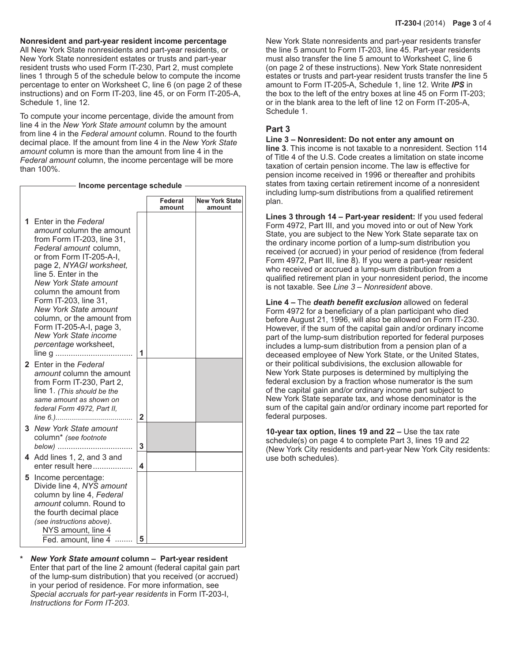**Nonresident and part-year resident income percentage**

All New York State nonresidents and part-year residents, or New York State nonresident estates or trusts and part-year resident trusts who used Form IT-230, Part 2, must complete lines 1 through 5 of the schedule below to compute the income percentage to enter on Worksheet C, line 6 (on page 2 of these instructions) and on Form IT-203, line 45, or on Form IT-205-A, Schedule 1, line 12.

To compute your income percentage, divide the amount from line 4 in the *New York State amount* column by the amount from line 4 in the *Federal amount* column. Round to the fourth decimal place. If the amount from line 4 in the *New York State amount* column is more than the amount from line 4 in the *Federal amount* column, the income percentage will be more than 100%.

#### **Income percentage schedule**

|    |                                                                                                                                                                                                                                                                                                                                                                                                                                       |   | Federal<br>amount | <b>New York State</b><br>amount |
|----|---------------------------------------------------------------------------------------------------------------------------------------------------------------------------------------------------------------------------------------------------------------------------------------------------------------------------------------------------------------------------------------------------------------------------------------|---|-------------------|---------------------------------|
| 1. | Enter in the Federal<br>amount column the amount<br>from Form IT-203, line 31,<br><i>Federal amount column.</i><br>or from Form IT-205-A-I.<br>page 2, NYAGI worksheet,<br>line 5. Enter in the<br><b>New York State amount</b><br>column the amount from<br>Form IT-203, line 31,<br><b>New York State amount</b><br>column, or the amount from<br>Form IT-205-A-I, page 3,<br><b>New York State income</b><br>percentage worksheet, | 1 |                   |                                 |
|    | 2 Enter in the Federal<br>amount column the amount<br>from Form IT-230, Part 2,<br>line 1. (This should be the<br>same amount as shown on<br>federal Form 4972, Part II,                                                                                                                                                                                                                                                              | 2 |                   |                                 |
|    | 3 New York State amount<br>column* (see footnote<br>below)                                                                                                                                                                                                                                                                                                                                                                            | 3 |                   |                                 |
|    | 4 Add lines 1, 2, and 3 and<br>enter result here                                                                                                                                                                                                                                                                                                                                                                                      | 4 |                   |                                 |
| 5  | Income percentage:<br>Divide line 4, NYS amount<br>column by line 4, Federal<br>amount column. Round to<br>the fourth decimal place<br>(see instructions above).<br>NYS amount, line 4<br>Fed. amount. line 4                                                                                                                                                                                                                         | 5 |                   |                                 |

**\*** *New York State amount* **column – Part-year resident** Enter that part of the line 2 amount (federal capital gain part of the lump-sum distribution) that you received (or accrued) in your period of residence. For more information, see *Special accruals for part-year residents* in Form IT-203-I, *Instructions for Form IT-203*.

New York State nonresidents and part-year residents transfer the line 5 amount to Form IT-203, line 45. Part-year residents must also transfer the line 5 amount to Worksheet C, line 6 (on page 2 of these instructions). New York State nonresident estates or trusts and part-year resident trusts transfer the line 5 amount to Form IT-205-A, Schedule 1, line 12. Write *IPS* in the box to the left of the entry boxes at line 45 on Form IT-203; or in the blank area to the left of line 12 on Form IT-205-A, Schedule 1.

### **Part 3**

**Line 3 – Nonresident: Do not enter any amount on line 3**. This income is not taxable to a nonresident. Section 114 of Title 4 of the U.S. Code creates a limitation on state income taxation of certain pension income. The law is effective for pension income received in 1996 or thereafter and prohibits states from taxing certain retirement income of a nonresident including lump-sum distributions from a qualified retirement plan.

**Lines 3 through 14 – Part-year resident:** If you used federal Form 4972, Part III, and you moved into or out of New York State, you are subject to the New York State separate tax on the ordinary income portion of a lump-sum distribution you received (or accrued) in your period of residence (from federal Form 4972, Part III, line 8). If you were a part-year resident who received or accrued a lump-sum distribution from a qualified retirement plan in your nonresident period, the income is not taxable. See *Line 3 – Nonresident* above.

**Line 4 –** The *death benefit exclusion* allowed on federal Form 4972 for a beneficiary of a plan participant who died before August 21, 1996, will also be allowed on Form IT-230. However, if the sum of the capital gain and/or ordinary income part of the lump-sum distribution reported for federal purposes includes a lump-sum distribution from a pension plan of a deceased employee of New York State, or the United States, or their political subdivisions, the exclusion allowable for New York State purposes is determined by multiplying the federal exclusion by a fraction whose numerator is the sum of the capital gain and/or ordinary income part subject to New York State separate tax, and whose denominator is the sum of the capital gain and/or ordinary income part reported for federal purposes.

**10-year tax option, lines 19 and 22 –** Use the tax rate schedule(s) on page 4 to complete Part 3, lines 19 and 22 (New York City residents and part-year New York City residents: use both schedules).